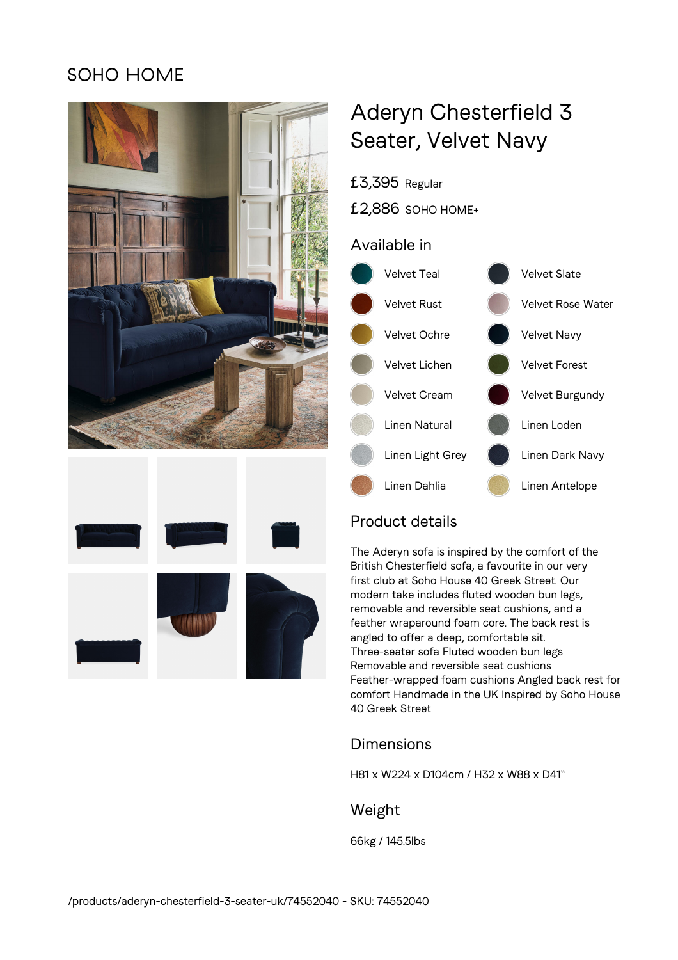## **SOHO HOME**





# Aderyn Chesterfield 3 Seater, Velvet Navy

£3,395 Regular

£2,886 SOHO HOME+

## Available in



## Product details

The Aderyn sofa is inspired by the comfort of the British Chesterfield sofa, a favourite in our very first club at Soho House 40 Greek Street. Our modern take includes fluted wooden bun legs, removable and reversible seat cushions, and a feather wraparound foam core. The back rest is angled to offer a deep, comfortable sit. Three-seater sofa Fluted wooden bun legs Removable and reversible seat cushions Feather-wrapped foam cushions Angled back rest for comfort Handmade in the UK Inspired by Soho House 40 Greek Street

## Dimensions

H81 x W224 x D104cm / H32 x W88 x D41"

### Weight

66kg / 145.5lbs